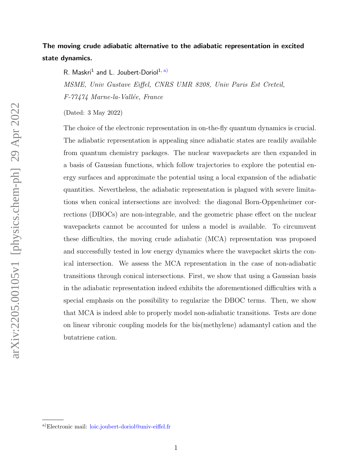# The moving crude adiabatic alternative to the adiabatic representation in excited state dynamics.

R. Maskri<sup>1</sup> and L. Joubert-Doriol<sup>1, [a\)](#page-0-0)</sup>

MSME, Univ Gustave Eiffel, CNRS UMR 8208, Univ Paris Est Creteil, F-77474 Marne-la-Vallée, France

(Dated: 3 May 2022)

The choice of the electronic representation in on-the-fly quantum dynamics is crucial. The adiabatic representation is appealing since adiabatic states are readily available from quantum chemistry packages. The nuclear wavepackets are then expanded in a basis of Gaussian functions, which follow trajectories to explore the potential energy surfaces and approximate the potential using a local expansion of the adiabatic quantities. Nevertheless, the adiabatic representation is plagued with severe limitations when conical intersections are involved: the diagonal Born-Oppenheimer corrections (DBOCs) are non-integrable, and the geometric phase effect on the nuclear wavepackets cannot be accounted for unless a model is available. To circumvent these difficulties, the moving crude adiabatic (MCA) representation was proposed and successfully tested in low energy dynamics where the wavepacket skirts the conical intersection. We assess the MCA representation in the case of non-adiabatic transitions through conical intersections. First, we show that using a Gaussian basis in the adiabatic representation indeed exhibits the aforementioned difficulties with a special emphasis on the possibility to regularize the DBOC terms. Then, we show that MCA is indeed able to properly model non-adiabatic transitions. Tests are done on linear vibronic coupling models for the bis(methylene) adamantyl cation and the butatriene cation.

<span id="page-0-0"></span>a)Electronic mail: [loic.joubert-doriol@univ-eiffel.fr](mailto:loic.joubert-doriol@univ-eiffel.fr)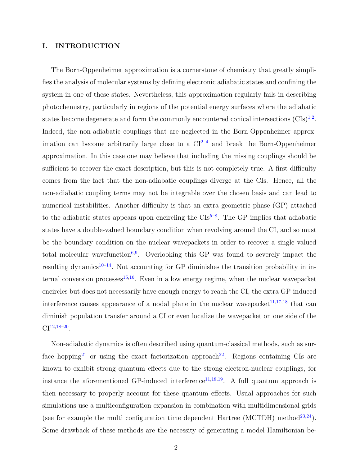# I. INTRODUCTION

The Born-Oppenheimer approximation is a cornerstone of chemistry that greatly simplifies the analysis of molecular systems by defining electronic adiabatic states and confining the system in one of these states. Nevertheless, this approximation regularly fails in describing photochemistry, particularly in regions of the potential energy surfaces where the adiabatic states become degenerate and form the commonly encountered conical intersections  $(CIs)^{1,2}$  $(CIs)^{1,2}$  $(CIs)^{1,2}$  $(CIs)^{1,2}$ . Indeed, the non-adiabatic couplings that are neglected in the Born-Oppenheimer approximation can become arbitrarily large close to a  $CI^{2-4}$  $CI^{2-4}$  $CI^{2-4}$  and break the Born-Oppenheimer approximation. In this case one may believe that including the missing couplings should be sufficient to recover the exact description, but this is not completely true. A first difficulty comes from the fact that the non-adiabatic couplings diverge at the CIs. Hence, all the non-adiabatic coupling terms may not be integrable over the chosen basis and can lead to numerical instabilities. Another difficulty is that an extra geometric phase (GP) attached to the adiabatic states appears upon encircling the  $\text{CIs}^{5-8}$  $\text{CIs}^{5-8}$  $\text{CIs}^{5-8}$ . The GP implies that adiabatic states have a double-valued boundary condition when revolving around the CI, and so must be the boundary condition on the nuclear wavepackets in order to recover a single valued total molecular wavefunction<sup>[6,](#page-16-4)[9](#page-16-5)</sup>. Overlooking this GP was found to severely impact the resulting dynamics<sup>[10–](#page-16-6)[14](#page-17-0)</sup>. Not accounting for GP diminishes the transition probability in in-ternal conversion processes<sup>[15,](#page-17-1)[16](#page-17-2)</sup>. Even in a low energy regime, when the nuclear wavepacket encircles but does not necessarily have enough energy to reach the CI, the extra GP-induced interference causes appearance of a nodal plane in the nuclear wavepacket<sup>[11,](#page-16-7)[17](#page-17-3)[,18](#page-17-4)</sup> that can diminish population transfer around a CI or even localize the wavepacket on one side of the  $\text{CI}^{12,18-20}.$  $\text{CI}^{12,18-20}.$  $\text{CI}^{12,18-20}.$  $\text{CI}^{12,18-20}.$ 

Non-adiabatic dynamics is often described using quantum-classical methods, such as sur-face hopping<sup>[21](#page-17-6)</sup> or using the exact factorization approach<sup>[22](#page-17-7)</sup>. Regions containing CIs are known to exhibit strong quantum effects due to the strong electron-nuclear couplings, for instance the aforementioned GP-induced interference<sup>[11](#page-16-7)[,18,](#page-17-4)[19](#page-17-8)</sup>. A full quantum approach is then necessary to properly account for these quantum effects. Usual approaches for such simulations use a multiconfiguration expansion in combination with multidimensional grids (see for example the multi configuration time dependent Hartree (MCTDH) method<sup>[23](#page-17-9)[,24](#page-18-0)</sup>). Some drawback of these methods are the necessity of generating a model Hamiltonian be-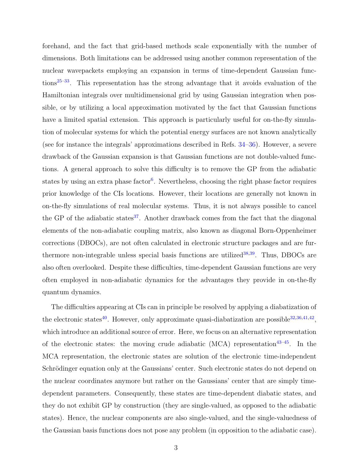forehand, and the fact that grid-based methods scale exponentially with the number of dimensions. Both limitations can be addressed using another common representation of the nuclear wavepackets employing an expansion in terms of time-dependent Gaussian func-tions<sup>[25](#page-18-1)[–33](#page-18-2)</sup>. This representation has the strong advantage that it avoids evaluation of the Hamiltonian integrals over multidimensional grid by using Gaussian integration when possible, or by utilizing a local approximation motivated by the fact that Gaussian functions have a limited spatial extension. This approach is particularly useful for on-the-fly simulation of molecular systems for which the potential energy surfaces are not known analytically (see for instance the integrals' approximations described in Refs. [34–](#page-18-3)[36\)](#page-19-0). However, a severe drawback of the Gaussian expansion is that Gaussian functions are not double-valued functions. A general approach to solve this difficulty is to remove the GP from the adiabatic states by using an extra phase factor<sup>[6](#page-16-4)</sup>. Nevertheless, choosing the right phase factor requires prior knowledge of the CIs locations. However, their locations are generally not known in on-the-fly simulations of real molecular systems. Thus, it is not always possible to cancel the GP of the adiabatic states<sup>[37](#page-19-1)</sup>. Another drawback comes from the fact that the diagonal elements of the non-adiabatic coupling matrix, also known as diagonal Born-Oppenheimer corrections (DBOCs), are not often calculated in electronic structure packages and are fur-thermore non-integrable unless special basis functions are utilized<sup>[38](#page-19-2)[,39](#page-19-3)</sup>. Thus, DBOCs are also often overlooked. Despite these difficulties, time-dependent Gaussian functions are very often employed in non-adiabatic dynamics for the advantages they provide in on-the-fly quantum dynamics.

The difficulties appearing at CIs can in principle be resolved by applying a diabatization of the electronic states<sup>[40](#page-19-4)</sup>. However, only approximate quasi-diabatization are possible<sup>[32](#page-18-4)[,36](#page-19-0)[,41,](#page-19-5)[42](#page-19-6)</sup>, which introduce an additional source of error. Here, we focus on an alternative representation of the electronic states: the moving crude adiabatic (MCA) representation<sup>[43–](#page-19-7)[45](#page-19-8)</sup>. In the MCA representation, the electronic states are solution of the electronic time-independent Schrödinger equation only at the Gaussians' center. Such electronic states do not depend on the nuclear coordinates anymore but rather on the Gaussians' center that are simply timedependent parameters. Consequently, these states are time-dependent diabatic states, and they do not exhibit GP by construction (they are single-valued, as opposed to the adiabatic states). Hence, the nuclear components are also single-valued, and the single-valuedness of the Gaussian basis functions does not pose any problem (in opposition to the adiabatic case).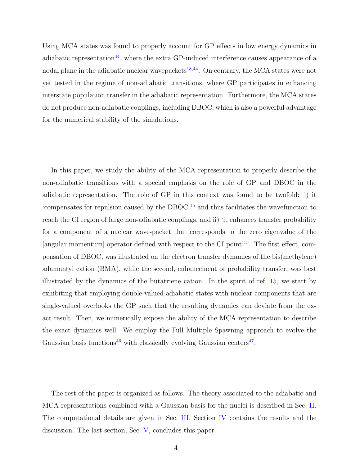Using MCA states was found to properly account for GP effects in low energy dynamics in adiabatic representation<sup>[44](#page-19-9)</sup>, where the extra GP-induced interference causes appearance of a nodal plane in the adiabatic nuclear wavepackets $18,44$  $18,44$ . On contrary, the MCA states were not yet tested in the regime of non-adiabatic transitions, where GP participates in enhancing interstate population transfer in the adiabatic representation. Furthermore, the MCA states do not produce non-adiabatic couplings, including DBOC, which is also a powerful advantage for the numerical stability of the simulations.

In this paper, we study the ability of the MCA representation to properly describe the non-adiabatic transitions with a special emphasis on the role of GP and DBOC in the adiabatic representation. The role of GP in this context was found to be twofold: i) it 'compensates for repulsion caused by the DBOC'[15](#page-17-1) and thus facilitates the wavefunction to reach the CI region of large non-adiabatic couplings, and ii) 'it enhances transfer probability for a component of a nuclear wave-packet that corresponds to the zero eigenvalue of the [angular momentum] operator defined with respect to the CI point<sup>[15](#page-17-1)</sup>. The first effect, compensation of DBOC, was illustrated on the electron transfer dynamics of the bis(methylene) adamantyl cation (BMA), while the second, enhancement of probability transfer, was best illustrated by the dynamics of the butatriene cation. In the spirit of ref. [15,](#page-17-1) we start by exhibiting that employing double-valued adiabatic states with nuclear components that are single-valued overlooks the GP such that the resulting dynamics can deviate from the exact result. Then, we numerically expose the ability of the MCA representation to describe the exact dynamics well. We employ the Full Multiple Spawning approach to evolve the Gaussian basis functions<sup>[46](#page-20-0)</sup> with classically evolving Gaussian centers<sup>[47](#page-20-1)</sup>.

The rest of the paper is organized as follows. The theory associated to the adiabatic and MCA representations combined with a Gaussian basis for the nuclei is described in Sec. [II.](#page-4-0) The computational details are given in Sec. [III.](#page-6-0) Section [IV](#page-8-0) contains the results and the discussion. The last section, Sec. [V,](#page-12-0) concludes this paper.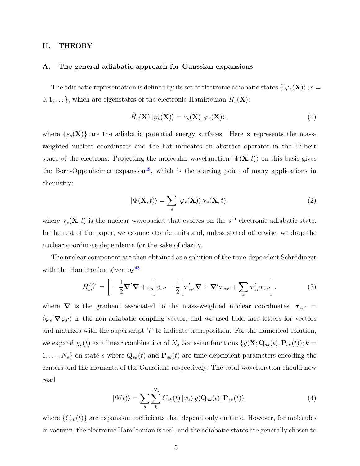# <span id="page-4-0"></span>II. THEORY

#### <span id="page-4-2"></span>A. The general adiabatic approach for Gaussian expansions

The adiabatic representation is defined by its set of electronic adiabatic states  $\{|\varphi_s(\mathbf{X})\rangle; s =$  $(0, 1, \dots\},\$  which are eigenstates of the electronic Hamiltonian  $\hat{H}_e(\mathbf{X})$ :

$$
\hat{H}_e(\mathbf{X}) \left| \varphi_s(\mathbf{X}) \right\rangle = \varepsilon_s(\mathbf{X}) \left| \varphi_s(\mathbf{X}) \right\rangle, \tag{1}
$$

where  $\{\varepsilon_s(\mathbf{X})\}$  are the adiabatic potential energy surfaces. Here **x** represents the massweighted nuclear coordinates and the hat indicates an abstract operator in the Hilbert space of the electrons. Projecting the molecular wavefunction  $|\Psi(\mathbf{X},t)\rangle$  on this basis gives the Born-Oppenheimer expansion<sup>[48](#page-20-2)</sup>, which is the starting point of many applications in chemistry:

<span id="page-4-1"></span>
$$
|\Psi(\mathbf{X},t)\rangle = \sum_{s} |\varphi_{s}(\mathbf{X})\rangle \chi_{s}(\mathbf{X},t), \qquad (2)
$$

where  $\chi_s(\mathbf{X},t)$  is the nuclear wavepacket that evolves on the s<sup>th</sup> electronic adiabatic state. In the rest of the paper, we assume atomic units and, unless stated otherwise, we drop the nuclear coordinate dependence for the sake of clarity.

The nuclear component are then obtained as a solution of the time-dependent Schrödinger with the Hamiltonian given by  $48$ 

$$
H_{ss'}^{DV} = \left[ -\frac{1}{2} \nabla^t \nabla + \varepsilon_s \right] \delta_{ss'} - \frac{1}{2} \left[ \tau_{ss'}^t \nabla + \nabla^t \tau_{ss'} + \sum_r \tau_{sr}^t \tau_{rs'} \right]. \tag{3}
$$

where  $\nabla$  is the gradient associated to the mass-weighted nuclear coordinates,  $\tau_{ss'}$  =  $\langle \varphi_s | \nabla \varphi_{s'} \rangle$  is the non-adiabatic coupling vector, and we used bold face letters for vectors and matrices with the superscript  $'t'$  to indicate transposition. For the numerical solution, we expand  $\chi_s(t)$  as a linear combination of  $N_s$  Gaussian functions  $\{g(\mathbf{X}; \mathbf{Q}_{sk}(t), \mathbf{P}_{sk}(t)); k =$  $1, \ldots, N_s$  on state s where  $\mathbf{Q}_{sk}(t)$  and  $\mathbf{P}_{sk}(t)$  are time-dependent parameters encoding the centers and the momenta of the Gaussians respectively. The total wavefunction should now read

$$
|\Psi(t)\rangle = \sum_{s} \sum_{k}^{N_s} C_{sk}(t) |\varphi_s\rangle g(\mathbf{Q}_{sk}(t), \mathbf{P}_{sk}(t)),
$$
\n(4)

where  ${C_{sk}(t)}$  are expansion coefficients that depend only on time. However, for molecules in vacuum, the electronic Hamiltonian is real, and the adiabatic states are generally chosen to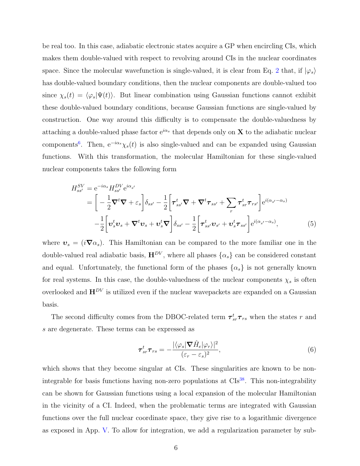be real too. In this case, adiabatic electronic states acquire a GP when encircling CIs, which makes them double-valued with respect to revolving around CIs in the nuclear coordinates space. Since the molecular wavefunction is single-valued, it is clear from Eq. [2](#page-4-1) that, if  $|\varphi_s\rangle$ has double-valued boundary conditions, then the nuclear components are double-valued too since  $\chi_s(t) = \langle \varphi_s | \Psi(t) \rangle$ . But linear combination using Gaussian functions cannot exhibit these double-valued boundary conditions, because Gaussian functions are single-valued by construction. One way around this difficulty is to compensate the double-valuedness by attaching a double-valued phase factor  $e^{i\alpha_s}$  that depends only on **X** to the adiabatic nuclear components<sup>[6](#page-16-4)</sup>. Then,  $e^{-i\alpha_s}\chi_s(t)$  is also single-valued and can be expanded using Gaussian functions. With this transformation, the molecular Hamiltonian for these single-valued nuclear components takes the following form

<span id="page-5-0"></span>
$$
H_{ss'}^{SV} = e^{-i\alpha_s} H_{ss'}^{DV} e^{i\alpha_{s'}} = \left[ -\frac{1}{2} \nabla^t \nabla + \varepsilon_s \right] \delta_{ss'} - \frac{1}{2} \left[ \tau_{ss'}^t \nabla + \nabla^t \tau_{ss'} + \sum_r \tau_{sr}^t \tau_{rs'} \right] e^{i(\alpha_{s'} - \alpha_s)} - \frac{1}{2} \left[ \nu_s^t \nu_s + \nabla^t \nu_s + \nu_s^t \nabla \right] \delta_{ss'} - \frac{1}{2} \left[ \tau_{ss'}^t \nu_{s'} + \nu_s^t \tau_{ss'} \right] e^{i(\alpha_{s'} - \alpha_s)},
$$
(5)

where  $v_s = (i\nabla a_s)$ . This Hamiltonian can be compared to the more familiar one in the double-valued real adiabatic basis,  $\mathbf{H}^{DV}$ , where all phases  $\{\alpha_s\}$  can be considered constant and equal. Unfortunately, the functional form of the phases  $\{\alpha_s\}$  is not generally known for real systems. In this case, the double-valuedness of the nuclear components  $\chi_s$  is often overlooked and  $\mathbf{H}^{DV}$  is utilized even if the nuclear wavepackets are expanded on a Gaussian basis.

The second difficulty comes from the DBOC-related term  $\tau_{sr}^t \tau_{rs}$  when the states r and s are degenerate. These terms can be expressed as

<span id="page-5-1"></span>
$$
\tau_{sr}^t \tau_{rs} = -\frac{|\langle \varphi_s | \boldsymbol{\nabla} \hat{H}_e | \varphi_r \rangle|^2}{(\varepsilon_r - \varepsilon_s)^2},\tag{6}
$$

which shows that they become singular at CIs. These singularities are known to be non-integrable for basis functions having non-zero populations at CIs<sup>[38](#page-19-2)</sup>. This non-integrability can be shown for Gaussian functions using a local expansion of the molecular Hamiltonian in the vicinity of a CI. Indeed, when the problematic terms are integrated with Gaussian functions over the full nuclear coordinate space, they give rise to a logarithmic divergence as exposed in App. [V.](#page-13-0) To allow for integration, we add a regularization parameter by sub-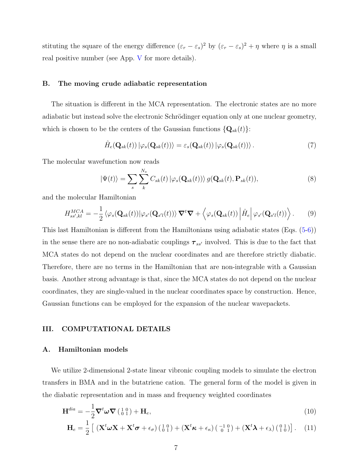stituting the square of the energy difference  $(\varepsilon_r - \varepsilon_s)^2$  by  $(\varepsilon_r - \varepsilon_s)^2 + \eta$  where  $\eta$  is a small real positive number (see App. [V](#page-13-0) for more details).

### B. The moving crude adiabatic representation

The situation is different in the MCA representation. The electronic states are no more adiabatic but instead solve the electronic Schrödinger equation only at one nuclear geometry, which is chosen to be the centers of the Gaussian functions  $\{Q_{sk}(t)\}\$ :

$$
\hat{H}_e(\mathbf{Q}_{sk}(t)) |\varphi_s(\mathbf{Q}_{sk}(t))\rangle = \varepsilon_s(\mathbf{Q}_{sk}(t)) |\varphi_s(\mathbf{Q}_{sk}(t))\rangle. \tag{7}
$$

The molecular wavefunction now reads

$$
|\Psi(t)\rangle = \sum_{s} \sum_{k}^{N_s} C_{sk}(t) |\varphi_s(\mathbf{Q}_{sk}(t))\rangle g(\mathbf{Q}_{sk}(t), \mathbf{P}_{sk}(t)),
$$
\n(8)

and the molecular Hamiltonian

$$
H_{ss',kl}^{MCA} = -\frac{1}{2} \langle \varphi_s(\mathbf{Q}_{sk}(t)) | \varphi_{s'}(\mathbf{Q}_{s'l}(t)) \rangle \nabla^t \nabla + \langle \varphi_s(\mathbf{Q}_{sk}(t)) | \hat{H}_e | \varphi_{s'}(\mathbf{Q}_{s'l}(t)) \rangle. \tag{9}
$$

This last Hamiltonian is different from the Hamiltonians using adiabatic states (Eqs. [\(5](#page-5-0)[-6\)](#page-5-1)) in the sense there are no non-adiabatic couplings  $\tau_{ss'}$  involved. This is due to the fact that MCA states do not depend on the nuclear coordinates and are therefore strictly diabatic. Therefore, there are no terms in the Hamiltonian that are non-integrable with a Gaussian basis. Another strong advantage is that, since the MCA states do not depend on the nuclear coordinates, they are single-valued in the nuclear coordinates space by construction. Hence, Gaussian functions can be employed for the expansion of the nuclear wavepackets.

#### <span id="page-6-0"></span>III. COMPUTATIONAL DETAILS

## A. Hamiltonian models

We utilize 2-dimensional 2-state linear vibronic coupling models to simulate the electron transfers in BMA and in the butatriene cation. The general form of the model is given in the diabatic representation and in mass and frequency weighted coordinates

<span id="page-6-1"></span>
$$
\mathbf{H}^{dia} = -\frac{1}{2} \nabla^t \boldsymbol{\omega} \nabla \left( \begin{smallmatrix} 1 & 0 \\ 0 & 1 \end{smallmatrix} \right) + \mathbf{H}_e,\tag{10}
$$

$$
\mathbf{H}_{e} = \frac{1}{2} \left[ \left( \mathbf{X}^{t} \boldsymbol{\omega} \mathbf{X} + \mathbf{X}^{t} \boldsymbol{\sigma} + \epsilon_{\sigma} \right) \left( \begin{smallmatrix} 1 & 0 \\ 0 & 1 \end{smallmatrix} \right) + \left( \mathbf{X}^{t} \boldsymbol{\kappa} + \epsilon_{\kappa} \right) \left( \begin{smallmatrix} -1 & 0 \\ 0 & 1 \end{smallmatrix} \right) + \left( \mathbf{X}^{t} \boldsymbol{\lambda} + \epsilon_{\lambda} \right) \left( \begin{smallmatrix} 0 & 1 \\ 1 & 0 \end{smallmatrix} \right) \right]. \tag{11}
$$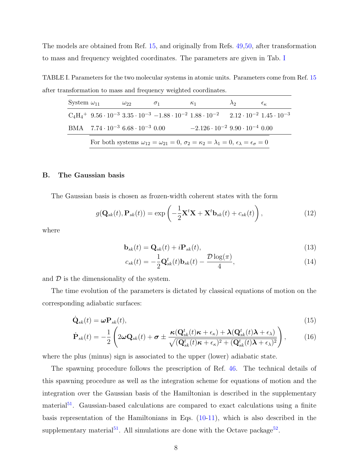The models are obtained from Ref. [15,](#page-17-1) and originally from Refs. [49,](#page-20-3)[50,](#page-20-4) after transformation to mass and frequency weighted coordinates. The parameters are given in Tab. [I](#page-7-0)

TABLE I. Parameters for the two molecular systems in atomic units. Parameters come from Ref. [15](#page-17-1) after transformation to mass and frequency weighted coordinates.

<span id="page-7-0"></span>

| System $\omega_{11}$ |                                                                                                                                         | $\omega_{22}$                                      | $\sigma_1$ | $\kappa_1$                                                                                                                                                             | $\lambda$ 2 | $\epsilon_{\kappa}$ |
|----------------------|-----------------------------------------------------------------------------------------------------------------------------------------|----------------------------------------------------|------------|------------------------------------------------------------------------------------------------------------------------------------------------------------------------|-------------|---------------------|
|                      |                                                                                                                                         |                                                    |            | $C_4H_4$ <sup>+</sup> 9.56 · 10 <sup>-3</sup> 3.35 · 10 <sup>-3</sup> -1.88 · 10 <sup>-2</sup> 1.88 · 10 <sup>-2</sup> 2.12 · 10 <sup>-2</sup> 1.45 · 10 <sup>-3</sup> |             |                     |
|                      |                                                                                                                                         | BMA $7.74 \cdot 10^{-3}$ 6.68 $\cdot 10^{-3}$ 0.00 |            | $-2.126 \cdot 10^{-2}$ 9.90 $\cdot 10^{-4}$ 0.00                                                                                                                       |             |                     |
|                      | For both systems $\omega_{12} = \omega_{21} = 0$ , $\sigma_2 = \kappa_2 = \lambda_1 = 0$ , $\epsilon_{\lambda} = \epsilon_{\sigma} = 0$ |                                                    |            |                                                                                                                                                                        |             |                     |

#### B. The Gaussian basis

The Gaussian basis is chosen as frozen-width coherent states with the form

$$
g(\mathbf{Q}_{sk}(t), \mathbf{P}_{sk}(t)) = \exp\left(-\frac{1}{2}\mathbf{X}^t\mathbf{X} + \mathbf{X}^t\mathbf{b}_{sk}(t) + c_{sk}(t)\right),\tag{12}
$$

where

$$
\mathbf{b}_{sk}(t) = \mathbf{Q}_{sk}(t) + i \mathbf{P}_{sk}(t),\tag{13}
$$

$$
c_{sk}(t) = -\frac{1}{2}\mathbf{Q}_{sk}^t(t)\mathbf{b}_{sk}(t) - \frac{\mathcal{D}\log(\pi)}{4},\tag{14}
$$

and  $\mathcal D$  is the dimensionality of the system.

The time evolution of the parameters is dictated by classical equations of motion on the corresponding adiabatic surfaces:

$$
\dot{\mathbf{Q}}_{sk}(t) = \boldsymbol{\omega} \mathbf{P}_{sk}(t),\tag{15}
$$

$$
\dot{\mathbf{P}}_{sk}(t) = -\frac{1}{2} \left( 2\omega \mathbf{Q}_{sk}(t) + \boldsymbol{\sigma} \pm \frac{\boldsymbol{\kappa}(\mathbf{Q}_{sk}^{t}(t)\boldsymbol{\kappa} + \epsilon_{\kappa}) + \boldsymbol{\lambda}(\mathbf{Q}_{sk}^{t}(t)\boldsymbol{\lambda} + \epsilon_{\lambda})}{\sqrt{(\mathbf{Q}_{sk}^{t}(t)\boldsymbol{\kappa} + \epsilon_{\kappa})^{2} + (\mathbf{Q}_{sk}^{t}(t)\boldsymbol{\lambda} + \epsilon_{\lambda})^{2}}} \right),
$$
(16)

where the plus (minus) sign is associated to the upper (lower) adiabatic state.

The spawning procedure follows the prescription of Ref. [46.](#page-20-0) The technical details of this spawning procedure as well as the integration scheme for equations of motion and the integration over the Gaussian basis of the Hamiltonian is described in the supplementary material<sup>[51](#page-20-5)</sup>. Gaussian-based calculations are compared to exact calculations using a finite basis representation of the Hamiltonians in Eqs. [\(10-11\)](#page-6-1), which is also described in the supplementary material<sup>[51](#page-20-5)</sup>. All simulations are done with the Octave package<sup>[52](#page-20-6)</sup>.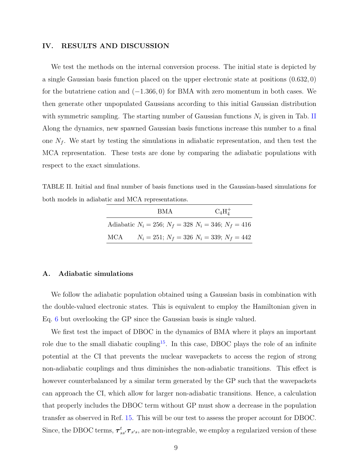### <span id="page-8-0"></span>IV. RESULTS AND DISCUSSION

We test the methods on the internal conversion process. The initial state is depicted by a single Gaussian basis function placed on the upper electronic state at positions (0.632, 0) for the butatriene cation and  $(-1.366, 0)$  for BMA with zero momentum in both cases. We then generate other unpopulated Gaussians according to this initial Gaussian distribution with symmetric sampling. The starting number of Gaussian functions  $N_i$  is given in Tab. [II](#page-8-1) Along the dynamics, new spawned Gaussian basis functions increase this number to a final one  $N_f$ . We start by testing the simulations in adiabatic representation, and then test the MCA representation. These tests are done by comparing the adiabatic populations with respect to the exact simulations.

<span id="page-8-1"></span>TABLE II. Initial and final number of basis functions used in the Gaussian-based simulations for both models in adiabatic and MCA representations.

|     | <b>BMA</b>                                                    | $C_4H_4^+$                                          |
|-----|---------------------------------------------------------------|-----------------------------------------------------|
|     | Adiabatic $N_i = 256$ ; $N_f = 328$ $N_i = 346$ ; $N_f = 416$ |                                                     |
| MCA |                                                               | $N_i = 251$ ; $N_f = 326$ $N_i = 339$ ; $N_f = 442$ |

#### A. Adiabatic simulations

We follow the adiabatic population obtained using a Gaussian basis in combination with the double-valued electronic states. This is equivalent to employ the Hamiltonian given in Eq. [6](#page-5-1) but overlooking the GP since the Gaussian basis is single valued.

We first test the impact of DBOC in the dynamics of BMA where it plays an important role due to the small diabatic coupling<sup>[15](#page-17-1)</sup>. In this case, DBOC plays the role of an infinite potential at the CI that prevents the nuclear wavepackets to access the region of strong non-adiabatic couplings and thus diminishes the non-adiabatic transitions. This effect is however counterbalanced by a similar term generated by the GP such that the wavepackets can approach the CI, which allow for larger non-adiabatic transitions. Hence, a calculation that properly includes the DBOC term without GP must show a decrease in the population transfer as observed in Ref. [15.](#page-17-1) This will be our test to assess the proper account for DBOC. Since, the DBOC terms,  $\tau_{ss'}^t \tau_{s's}$ , are non-integrable, we employ a regularized version of these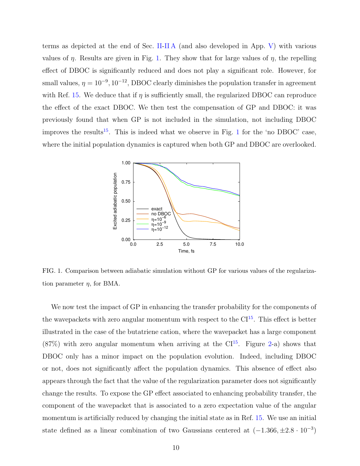terms as depicted at the end of Sec. [II-](#page-4-0)[II A](#page-4-2) (and also developed in App. [V\)](#page-13-0) with various values of  $\eta$ . Results are given in Fig. [1.](#page-9-0) They show that for large values of  $\eta$ , the repelling effect of DBOC is significantly reduced and does not play a significant role. However, for small values,  $\eta = 10^{-9}$ ,  $10^{-12}$ , DBOC clearly diminishes the population transfer in agreement with Ref. [15.](#page-17-1) We deduce that if  $\eta$  is sufficiently small, the regularized DBOC can reproduce the effect of the exact DBOC. We then test the compensation of GP and DBOC: it was previously found that when GP is not included in the simulation, not including DBOC improves the results<sup>[15](#page-17-1)</sup>. This is indeed what we observe in Fig. [1](#page-9-0) for the 'no DBOC' case, where the initial population dynamics is captured when both GP and DBOC are overlooked.



<span id="page-9-0"></span>FIG. 1. Comparison between adiabatic simulation without GP for various values of the regularization parameter  $\eta$ , for BMA.

We now test the impact of GP in enhancing the transfer probability for the components of the wavepackets with zero angular momentum with respect to the  $CI<sup>15</sup>$  $CI<sup>15</sup>$  $CI<sup>15</sup>$ . This effect is better illustrated in the case of the butatriene cation, where the wavepacket has a large component  $(87\%)$  with zero angular momentum when arriving at the CI<sup>[15](#page-17-1)</sup>. Figure [2-](#page-10-0)a) shows that DBOC only has a minor impact on the population evolution. Indeed, including DBOC or not, does not significantly affect the population dynamics. This absence of effect also appears through the fact that the value of the regularization parameter does not significantly change the results. To expose the GP effect associated to enhancing probability transfer, the component of the wavepacket that is associated to a zero expectation value of the angular momentum is artificially reduced by changing the initial state as in Ref. [15.](#page-17-1) We use an initial state defined as a linear combination of two Gaussians centered at  $(-1.366, \pm 2.8 \cdot 10^{-3})$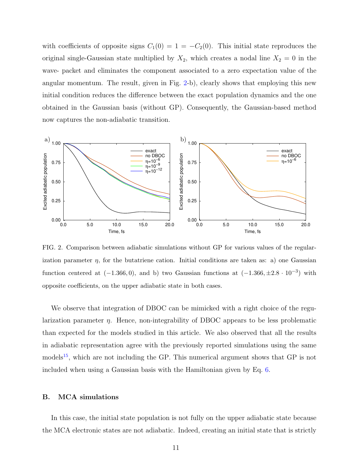with coefficients of opposite signs  $C_1(0) = 1 = -C_2(0)$ . This initial state reproduces the original single-Gaussian state multiplied by  $X_2$ , which creates a nodal line  $X_2 = 0$  in the wave- packet and eliminates the component associated to a zero expectation value of the angular momentum. The result, given in Fig. [2-](#page-10-0)b), clearly shows that employing this new initial condition reduces the difference between the exact population dynamics and the one obtained in the Gaussian basis (without GP). Consequently, the Gaussian-based method now captures the non-adiabatic transition.



<span id="page-10-0"></span>FIG. 2. Comparison between adiabatic simulations without GP for various values of the regularization parameter  $\eta$ , for the butatriene cation. Initial conditions are taken as: a) one Gaussian function centered at  $(-1.366, 0)$ , and b) two Gaussian functions at  $(-1.366, \pm 2.8 \cdot 10^{-3})$  with opposite coefficients, on the upper adiabatic state in both cases.

We observe that integration of DBOC can be mimicked with a right choice of the regularization parameter  $\eta$ . Hence, non-integrability of DBOC appears to be less problematic than expected for the models studied in this article. We also observed that all the results in adiabatic representation agree with the previously reported simulations using the same models<sup>[15](#page-17-1)</sup>, which are not including the GP. This numerical argument shows that GP is not included when using a Gaussian basis with the Hamiltonian given by Eq. [6.](#page-5-1)

#### B. MCA simulations

In this case, the initial state population is not fully on the upper adiabatic state because the MCA electronic states are not adiabatic. Indeed, creating an initial state that is strictly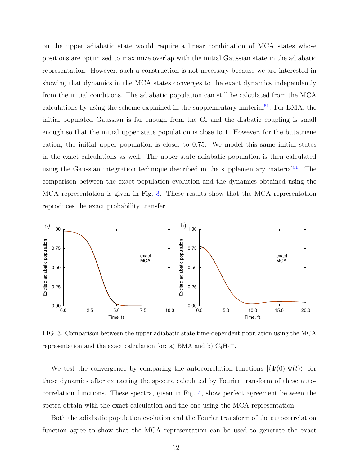on the upper adiabatic state would require a linear combination of MCA states whose positions are optimized to maximize overlap with the initial Gaussian state in the adiabatic representation. However, such a construction is not necessary because we are interested in showing that dynamics in the MCA states converges to the exact dynamics independently from the initial conditions. The adiabatic population can still be calculated from the MCA calculations by using the scheme explained in the supplementary material<sup>[51](#page-20-5)</sup>. For BMA, the initial populated Gaussian is far enough from the CI and the diabatic coupling is small enough so that the initial upper state population is close to 1. However, for the butatriene cation, the initial upper population is closer to 0.75. We model this same initial states in the exact calculations as well. The upper state adiabatic population is then calculated using the Gaussian integration technique described in the supplementary material<sup>[51](#page-20-5)</sup>. The comparison between the exact population evolution and the dynamics obtained using the MCA representation is given in Fig. [3.](#page-11-0) These results show that the MCA representation reproduces the exact probability transfer.



<span id="page-11-0"></span>FIG. 3. Comparison between the upper adiabatic state time-dependent population using the MCA representation and the exact calculation for: a) BMA and b)  $C_4H_4^+$ .

We test the convergence by comparing the autocorrelation functions  $|\langle \Psi(0)|\Psi(t)\rangle|$  for these dynamics after extracting the spectra calculated by Fourier transform of these autocorrelation functions. These spectra, given in Fig. [4,](#page-12-1) show perfect agreement between the spetra obtain with the exact calculation and the one using the MCA representation.

Both the adiabatic population evolution and the Fourier transform of the autocorrelation function agree to show that the MCA representation can be used to generate the exact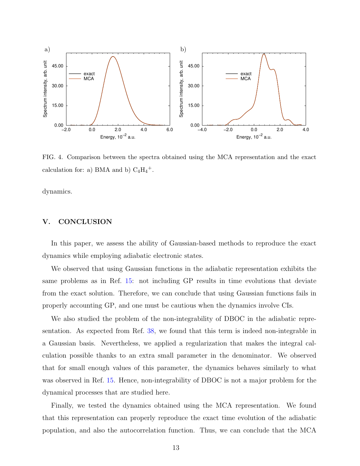

<span id="page-12-1"></span>FIG. 4. Comparison between the spectra obtained using the MCA representation and the exact calculation for: a) BMA and b)  $C_4H_4^+$ .

dynamics.

# <span id="page-12-0"></span>V. CONCLUSION

In this paper, we assess the ability of Gaussian-based methods to reproduce the exact dynamics while employing adiabatic electronic states.

We observed that using Gaussian functions in the adiabatic representation exhibits the same problems as in Ref. [15:](#page-17-1) not including GP results in time evolutions that deviate from the exact solution. Therefore, we can conclude that using Gaussian functions fails in properly accounting GP, and one must be cautious when the dynamics involve CIs.

We also studied the problem of the non-integrability of DBOC in the adiabatic representation. As expected from Ref. [38,](#page-19-2) we found that this term is indeed non-integrable in a Gaussian basis. Nevertheless, we applied a regularization that makes the integral calculation possible thanks to an extra small parameter in the denominator. We observed that for small enough values of this parameter, the dynamics behaves similarly to what was observed in Ref. [15.](#page-17-1) Hence, non-integrability of DBOC is not a major problem for the dynamical processes that are studied here.

Finally, we tested the dynamics obtained using the MCA representation. We found that this representation can properly reproduce the exact time evolution of the adiabatic population, and also the autocorrelation function. Thus, we can conclude that the MCA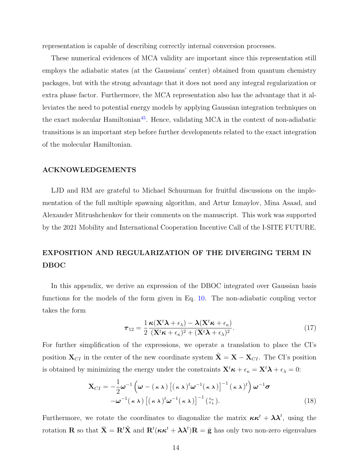representation is capable of describing correctly internal conversion processes.

These numerical evidences of MCA validity are important since this representation still employs the adiabatic states (at the Gaussians' center) obtained from quantum chemistry packages, but with the strong advantage that it does not need any integral regularization or extra phase factor. Furthermore, the MCA representation also has the advantage that it alleviates the need to potential energy models by applying Gaussian integration techniques on the exact molecular Hamiltonian<sup>[45](#page-19-8)</sup>. Hence, validating MCA in the context of non-adiabatic transitions is an important step before further developments related to the exact integration of the molecular Hamiltonian.

# ACKNOWLEDGEMENTS

LJD and RM are grateful to Michael Schuurman for fruitful discussions on the implementation of the full multiple spawning algorithm, and Artur Izmaylov, Mina Asaad, and Alexander Mitrushchenkov for their comments on the manuscript. This work was supported by the 2021 Mobility and International Cooperation Incentive Call of the I-SITE FUTURE.

# <span id="page-13-0"></span>EXPOSITION AND REGULARIZATION OF THE DIVERGING TERM IN DBOC

In this appendix, we derive an expression of the DBOC integrated over Gaussian basis functions for the models of the form given in Eq. [10.](#page-6-1) The non-adiabatic coupling vector takes the form

$$
\boldsymbol{\tau}_{12} = \frac{1}{2} \frac{\boldsymbol{\kappa} (\mathbf{X}^t \boldsymbol{\lambda} + \epsilon_{\lambda}) - \boldsymbol{\lambda} (\mathbf{X}^t \boldsymbol{\kappa} + \epsilon_{\kappa})}{(\mathbf{X}^t \boldsymbol{\kappa} + \epsilon_{\kappa})^2 + (\mathbf{X}^t \boldsymbol{\lambda} + \epsilon_{\lambda})^2}.
$$
(17)

For further simplification of the expressions, we operate a translation to place the CI's position  $X_{CI}$  in the center of the new coordinate system  $\tilde{X} = X - X_{CI}$ . The CI's position is obtained by minimizing the energy under the constraints  $\mathbf{X}^t \boldsymbol{\kappa} + \epsilon_{\kappa} = \mathbf{X}^t \boldsymbol{\lambda} + \epsilon_{\lambda} = 0$ :

$$
\mathbf{X}_{CI} = -\frac{1}{2}\boldsymbol{\omega}^{-1}\left(\boldsymbol{\omega} - (\kappa \lambda)\left[(\kappa \lambda)^{t}\boldsymbol{\omega}^{-1}(\kappa \lambda)\right]^{-1}(\kappa \lambda)^{t}\right)\boldsymbol{\omega}^{-1}\boldsymbol{\sigma} -\boldsymbol{\omega}^{-1}(\kappa \lambda)\left[(\kappa \lambda)^{t}\boldsymbol{\omega}^{-1}(\kappa \lambda)\right]^{-1}(\frac{\epsilon_{\kappa}}{\epsilon_{\lambda}}).
$$
\n(18)

Furthermore, we rotate the coordinates to diagonalize the matrix  $\kappa \kappa^t + \lambda \lambda^t$ , using the rotation **R** so that  $\bar{\mathbf{X}} = \mathbf{R}^t \tilde{\mathbf{X}}$  and  $\mathbf{R}^t(\kappa \kappa^t + \lambda \lambda^t) \mathbf{R} = \bar{\mathbf{g}}$  has only two non-zero eigenvalues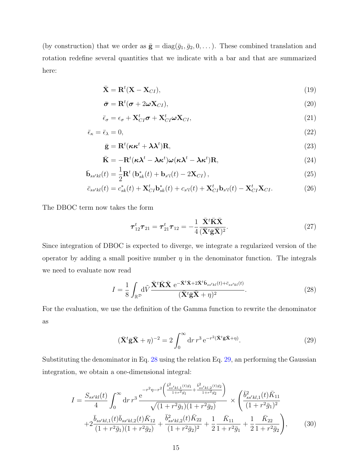(by construction) that we order as  $\bar{\mathbf{g}} = \text{diag}(\bar{g}_1, \bar{g}_2, 0, \dots)$ . These combined translation and rotation redefine several quantities that we indicate with a bar and that are summarized here:

$$
\bar{\mathbf{X}} = \mathbf{R}^t (\mathbf{X} - \mathbf{X}_{CI}),\tag{19}
$$

$$
\bar{\boldsymbol{\sigma}} = \mathbf{R}^t(\boldsymbol{\sigma} + 2\boldsymbol{\omega}\mathbf{X}_{CI}),
$$
\n(20)

$$
\bar{\epsilon}_{\sigma} = \epsilon_{\sigma} + \mathbf{X}_{CI}^{t} \boldsymbol{\sigma} + \mathbf{X}_{CI}^{t} \boldsymbol{\omega} \mathbf{X}_{CI},
$$
\n(21)

$$
\bar{\epsilon}_{\kappa} = \bar{\epsilon}_{\lambda} = 0,\tag{22}
$$

$$
\bar{\mathbf{g}} = \mathbf{R}^t (\kappa \kappa^t + \lambda \lambda^t) \mathbf{R},\tag{23}
$$

$$
\bar{\mathbf{K}} = -\mathbf{R}^t (\kappa \lambda^t - \lambda \kappa^t) \boldsymbol{\omega} (\kappa \lambda^t - \lambda \kappa^t) \mathbf{R},
$$
\n(24)

$$
\bar{\mathbf{b}}_{ss'kl}(t) = \frac{1}{2} \mathbf{R}^t \left( \mathbf{b}_{sk}^*(t) + \mathbf{b}_{s'l}(t) - 2\mathbf{X}_{CI} \right),\tag{25}
$$

$$
\bar{c}_{ss'kl}(t) = c_{sk}^*(t) + \mathbf{X}_{CI}^t \mathbf{b}_{sk}^*(t) + c_{s'l}(t) + \mathbf{X}_{CI}^t \mathbf{b}_{s'l}(t) - \mathbf{X}_{CI}^t \mathbf{X}_{CI}.
$$
 (26)

The DBOC term now takes the form

$$
\boldsymbol{\tau}_{12}^t \boldsymbol{\tau}_{21} = \boldsymbol{\tau}_{21}^t \boldsymbol{\tau}_{12} = -\frac{1}{4} \frac{\bar{\mathbf{X}}^t \bar{\mathbf{K}} \bar{\mathbf{X}}}{(\bar{\mathbf{X}}^t \bar{\mathbf{g}} \bar{\mathbf{X}})^2}.
$$
 (27)

Since integration of DBOC is expected to diverge, we integrate a regularized version of the operator by adding a small positive number  $\eta$  in the denominator function. The integrals we need to evaluate now read

<span id="page-14-0"></span>
$$
I = \frac{1}{8} \int_{\mathbb{R}^{\mathcal{D}}} d\tilde{V} \frac{\bar{\mathbf{X}}^t \bar{\mathbf{X}} \cdot e^{-\bar{\mathbf{X}}^t \bar{\mathbf{X}} + 2\bar{\mathbf{X}}^t \bar{\mathbf{b}}_{ss'kl}(t) + \bar{c}_{ss'kl}(t)}}{(\bar{\mathbf{X}}^t \bar{\mathbf{g}} \bar{\mathbf{X}} + \eta)^2}.
$$
 (28)

For the evaluation, we use the definition of the Gamma function to rewrite the denominator as

<span id="page-14-1"></span>
$$
(\bar{\mathbf{X}}^t \bar{\mathbf{g}} \bar{\mathbf{X}} + \eta)^{-2} = 2 \int_0^\infty dr \, r^3 e^{-r^2 (\bar{\mathbf{X}}^t \bar{\mathbf{g}} \bar{\mathbf{X}} + \eta)}.
$$
 (29)

Substituting the denominator in Eq. [28](#page-14-0) using the relation Eq. [29,](#page-14-1) an performing the Gaussian integration, we obtain a one-dimensional integral:

$$
I = \frac{S_{ss'kl}(t)}{4} \int_0^\infty dr \, r^3 \, \frac{e^{-r^2 \eta - r^2 \left(\frac{\bar{b}_{ss'kl,1}^2(t)\bar{g}_1}{1+r^2\bar{g}_1} + \frac{\bar{b}_{ss'kl,2}^2(t)\bar{g}_2}{1+r^2\bar{g}_2}\right)}}{\sqrt{(1+r^2\bar{g}_1)(1+r^2\bar{g}_2)}} \times \left(\frac{\bar{b}_{ss'kl,1}^2(t)\bar{K}_{11}}{(1+r^2\bar{g}_1)^2} + 2\frac{\bar{b}_{ss'kl,1}(t)\bar{b}_{ss'kl,2}(t)\bar{K}_{12}}{(1+r^2\bar{g}_1)(1+r^2\bar{g}_2)} + \frac{\bar{b}_{ss'kl,2}^2(t)\bar{K}_{22}}{(1+r^2\bar{g}_2)^2} + \frac{1}{2}\frac{\bar{K}_{11}}{1+r^2\bar{g}_1} + \frac{1}{2}\frac{\bar{K}_{22}}{1+r^2\bar{g}_2}\right), \quad (30)
$$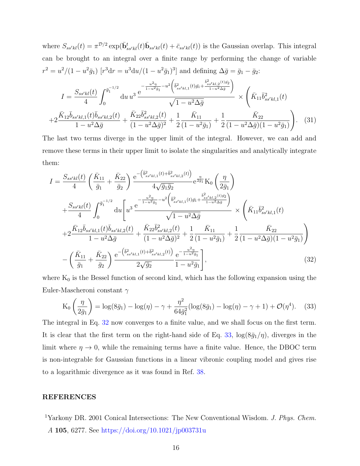where  $S_{ss'kl}(t) = \pi^{D/2} \exp(\bar{\mathbf{b}}_{ss'kl}^t(t)\bar{\mathbf{b}}_{ss'kl}(t) + \bar{c}_{ss'kl}(t))$  is the Gaussian overlap. This integral can be brought to an integral over a finite range by performing the change of variable  $r^2 = u^2/(1 - u^2 \bar{g}_1)$  [ $r^3$ d $r = u^3$ d $u/(1 - u^2 \bar{g}_1)^3$ ] and defining  $\Delta \bar{g} = \bar{g}_1 - \bar{g}_2$ :

$$
I = \frac{S_{ss'kl}(t)}{4} \int_0^{\bar{g}_1^{-1/2}} du \, u^3 \, \frac{e^{-\frac{u^2 \eta}{1 - u^2 \bar{g}_1} - u^2 \left(\bar{b}_{ss'kl,1}^2(t) \bar{g}_1 + \frac{\bar{b}_{ss'kl,2}^2(t) \bar{g}_2}{1 - u^2 \Delta \bar{g}}\right)}}{\sqrt{1 - u^2 \Delta \bar{g}}} \times \left(\bar{K}_{11} \bar{b}_{ss'kl,1}^2(t) + 2 \frac{\bar{K}_{12} \bar{b}_{ss'kl,2}(t)}{1 - u^2 \Delta \bar{g}} + \frac{\bar{K}_{22} \bar{b}_{ss'kl,2}^2(t)}{(1 - u^2 \Delta \bar{g})^2} + \frac{1}{2} \frac{\bar{K}_{11}}{(1 - u^2 \bar{g}_1)} + \frac{1}{2} \frac{\bar{K}_{22}}{(1 - u^2 \Delta \bar{g})(1 - u^2 \bar{g}_1)}\right).
$$
(31)

The last two terms diverge in the upper limit of the integral. However, we can add and remove these terms in their upper limit to isolate the singularities and analytically integrate them:

<span id="page-15-1"></span>
$$
I = \frac{S_{ss'kl}(t)}{4} \left( \frac{\bar{K}_{11}}{\bar{g}_1} + \frac{\bar{K}_{22}}{\bar{g}_2} \right) \frac{e^{-\left(\bar{b}_{ss'kl,1}^2(t) + \bar{b}_{ss'kl,2}^2(t)\right)}}{4\sqrt{\bar{g}_1 \bar{g}_2}} e^{\frac{\eta}{2\bar{g}_1}} K_0 \left( \frac{\eta}{2\bar{g}_1} \right)
$$
  
+ 
$$
\frac{S_{ss'kl}(t)}{4} \int_0^{\bar{g}_1^{-1/2}} du \left[ u^3 \frac{e^{-\frac{u^2 \eta}{1 - u^2 \bar{g}_1} - u^2 \left(\bar{b}_{ss'kl,1}^2(t) \bar{g}_1 + \frac{\bar{b}_{ss'kl,2}^2(t) \bar{g}_2}{1 - u^2 \Delta \bar{g}} \right)}}{\sqrt{1 - u^2 \Delta \bar{g}}} \right] \times \left( \bar{K}_{11} \bar{b}_{ss'kl,1}^2(t) + 2 \frac{\bar{K}_{12} \bar{b}_{ss'kl,1}(t) \bar{b}_{ss'kl,2}(t)}{1 - u^2 \Delta \bar{g}} + \frac{\bar{K}_{22} \bar{b}_{ss'kl,2}^2(t)}{(1 - u^2 \Delta \bar{g})^2} + \frac{1}{2} \frac{\bar{K}_{11}}{(1 - u^2 \Delta \bar{g}_1)} + \frac{1}{2} \frac{\bar{K}_{22}}{(1 - u^2 \Delta \bar{g})(1 - u^2 \bar{g}_1)}{\sqrt{1 - u^2 \Delta \bar{g}}}
$$
  
- 
$$
\left( \frac{\bar{K}_{11}}{\bar{g}_1} + \frac{\bar{K}_{22}}{\bar{g}_2} \right) \frac{e^{-\left(\bar{b}_{ss'kl,1}^2(t) + \bar{b}_{ss'kl,2}^2(t)\right)} - e^{-\frac{u^2 \eta}{1 - u^2 \bar{g}_1}}}{2\sqrt{\bar{g}_2}} \frac{e^{-\frac{u^2 \eta}{1 - u^2 \bar{g}_1}}}{1 - u^2 \bar{g}_1} \right], \tag{32}
$$

where  $K_0$  is the Bessel function of second kind, which has the following expansion using the Euler-Mascheroni constant  $\gamma$ 

<span id="page-15-2"></span>
$$
K_0\left(\frac{\eta}{2\bar{g}_1}\right) = \log(8\bar{g}_1) - \log(\eta) - \gamma + \frac{\eta^2}{64\bar{g}_1^2}(\log(8\bar{g}_1) - \log(\eta) - \gamma + 1) + \mathcal{O}(\eta^4). \tag{33}
$$

The integral in Eq. [32](#page-15-1) now converges to a finite value, and we shall focus on the first term. It is clear that the first term on the right-hand side of Eq. [33,](#page-15-2)  $\log(8\bar{g}_1/\eta)$ , diverges in the limit where  $\eta \to 0$ , while the remaining terms have a finite value. Hence, the DBOC term is non-integrable for Gaussian functions in a linear vibronic coupling model and gives rise to a logarithmic divergence as it was found in Ref. [38.](#page-19-2)

#### REFERENCES

<span id="page-15-0"></span> $^1$ Yarkony DR. 2001 Conical Intersections: The New Conventional Wisdom. J. Phys. Chem. A 105, 6277. See <https://doi.org/10.1021/jp003731u>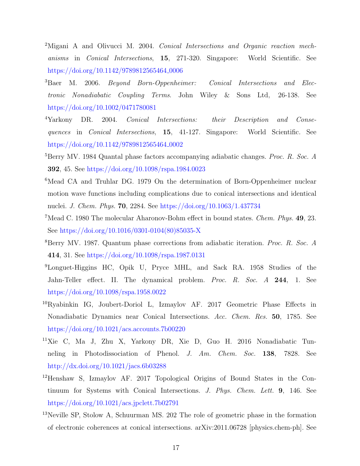- <span id="page-16-0"></span><sup>2</sup>Migani A and Olivucci M. 2004. Conical Intersections and Organic reaction mechanisms in Conical Intersections, 15, 271-320. Singapore: World Scientific. See [https://doi.org/10.1142/9789812565464](https://doi.org/10.1142/9789812565464_0006)<sub>-0006</sub>
- <sup>3</sup>Baer M. 2006. Beyond Born-Oppenheimer: Conical Intersections and Electronic Nonadiabatic Coupling Terms. John Wiley & Sons Ltd, 26-138. See <https://doi.org/10.1002/0471780081>
- <span id="page-16-1"></span><sup>4</sup>Yarkony DR. 2004. Conical Intersections: their Description and Consequences in *Conical Intersections*, **15**, 41-127. Singapore: World Scientific. See [https://doi.org/10.1142/9789812565464](https://doi.org/10.1142/9789812565464_0002)<sub>-0002</sub>
- <span id="page-16-2"></span><sup>5</sup>Berry MV. 1984 Quantal phase factors accompanying adiabatic changes. *Proc. R. Soc. A* 392, 45. See <https://doi.org/10.1098/rspa.1984.0023>
- <span id="page-16-4"></span><sup>6</sup>Mead CA and Truhlar DG. 1979 On the determination of Born-Oppenheimer nuclear motion wave functions including complications due to conical intersections and identical nuclei. J. Chem. Phys. 70, 2284. See <https://doi.org/10.1063/1.437734>
- <sup>7</sup>Mead C. 1980 The molecular Aharonov-Bohm effect in bound states. *Chem. Phys.* **49**, 23. See [https://doi.org/10.1016/0301-0104\(80\)85035-X](https://doi.org/10.1016/0301-0104(80)85035-X)
- <span id="page-16-3"></span><sup>8</sup>Berry MV. 1987. Quantum phase corrections from adiabatic iteration. Proc. R. Soc. A 414, 31. See <https://doi.org/10.1098/rspa.1987.0131>
- <span id="page-16-5"></span><sup>9</sup>Longuet-Higgins HC, Opik U, Pryce MHL, and Sack RA. 1958 Studies of the Jahn-Teller effect. II. The dynamical problem. Proc. R. Soc. A 244, 1. See <https://doi.org/10.1098/rspa.1958.0022>
- <span id="page-16-6"></span><sup>10</sup>Ryabinkin IG, Joubert-Doriol L, Izmaylov AF. 2017 Geometric Phase Effects in Nonadiabatic Dynamics near Conical Intersections. Acc. Chem. Res. 50, 1785. See <https://doi.org/10.1021/acs.accounts.7b00220>
- <span id="page-16-7"></span><sup>11</sup>Xie C, Ma J, Zhu X, Yarkony DR, Xie D, Guo H. 2016 Nonadiabatic Tunneling in Photodissociation of Phenol. J. Am. Chem. Soc. 138, 7828. See <http://dx.doi.org/10.1021/jacs.6b03288>
- <span id="page-16-8"></span><sup>12</sup>Henshaw S, Izmaylov AF. 2017 Topological Origins of Bound States in the Continuum for Systems with Conical Intersections. J. Phys. Chem. Lett. 9, 146. See <https://doi.org/10.1021/acs.jpclett.7b02791>
- <sup>13</sup>Neville SP, Stolow A, Schuurman MS. 202 The role of geometric phase in the formation of electronic coherences at conical intersections. arXiv:2011.06728 [physics.chem-ph]. See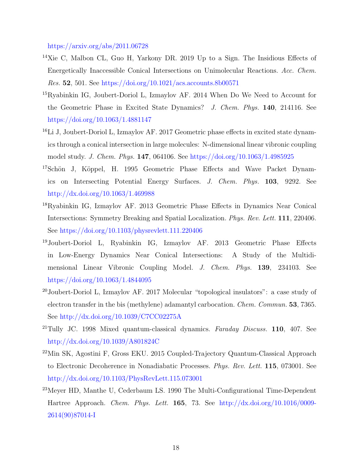<https://arxiv.org/abs/2011.06728>

- <span id="page-17-0"></span><sup>14</sup>Xie C, Malbon CL, Guo H, Yarkony DR. 2019 Up to a Sign. The Insidious Effects of Energetically Inaccessible Conical Intersections on Unimolecular Reactions. Acc. Chem. Res. 52, 501. See <https://doi.org/10.1021/acs.accounts.8b00571>
- <span id="page-17-1"></span><sup>15</sup>Ryabinkin IG, Joubert-Doriol L, Izmaylov AF. 2014 When Do We Need to Account for the Geometric Phase in Excited State Dynamics? J. Chem. Phys. 140, 214116. See <https://doi.org/10.1063/1.4881147>
- <span id="page-17-2"></span><sup>16</sup>Li J, Joubert-Doriol L, Izmaylov AF. 2017 Geometric phase effects in excited state dynamics through a conical intersection in large molecules: N-dimensional linear vibronic coupling model study. J. Chem. Phys. 147, 064106. See <https://doi.org/10.1063/1.4985925>
- <span id="page-17-3"></span><sup>17</sup>Schön J, Köppel, H. 1995 Geometric Phase Effects and Wave Packet Dynamics on Intersecting Potential Energy Surfaces. J. Chem. Phys. 103, 9292. See <http://dx.doi.org/10.1063/1.469988>
- <span id="page-17-4"></span><sup>18</sup>Ryabinkin IG, Izmaylov AF. 2013 Geometric Phase Effects in Dynamics Near Conical Intersections: Symmetry Breaking and Spatial Localization. Phys. Rev. Lett. 111, 220406. See <https://doi.org/10.1103/physrevlett.111.220406>
- <span id="page-17-8"></span><sup>19</sup>Joubert-Doriol L, Ryabinkin IG, Izmaylov AF. 2013 Geometric Phase Effects in Low-Energy Dynamics Near Conical Intersections: A Study of the Multidimensional Linear Vibronic Coupling Model. J. Chem. Phys. 139, 234103. See <https://doi.org/10.1063/1.4844095>
- <span id="page-17-5"></span><sup>20</sup>Joubert-Doriol L, Izmaylov AF. 2017 Molecular "topological insulators": a case study of electron transfer in the bis (methylene) adamantyl carbocation. Chem. Commun. 53, 7365. See <http://dx.doi.org/10.1039/C7CC02275A>
- <span id="page-17-6"></span> $^{21}$ Tully JC. 1998 Mixed quantum-classical dynamics. Faraday Discuss. 110, 407. See <http://dx.doi.org/10.1039/A801824C>
- <span id="page-17-7"></span><sup>22</sup>Min SK, Agostini F, Gross EKU. 2015 Coupled-Trajectory Quantum-Classical Approach to Electronic Decoherence in Nonadiabatic Processes. Phys. Rev. Lett. 115, 073001. See <http://dx.doi.org/10.1103/PhysRevLett.115.073001>
- <span id="page-17-9"></span><sup>23</sup>Meyer HD, Manthe U, Cederbaum LS. 1990 The Multi-Configurational Time-Dependent Hartree Approach. Chem. Phys. Lett. 165, 73. See [http://dx.doi.org/10.1016/0009-](http://dx.doi.org/10.1016/0009-2614(90)87014-I) [2614\(90\)87014-I](http://dx.doi.org/10.1016/0009-2614(90)87014-I)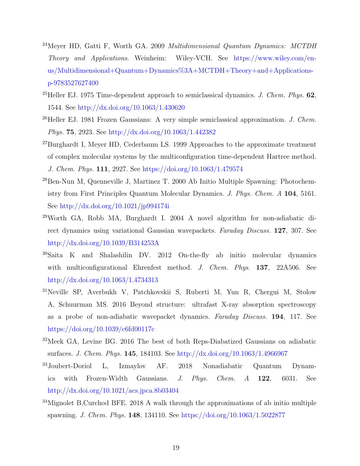- <span id="page-18-0"></span><sup>24</sup>Meyer HD, Gatti F, Worth GA. 2009 Multidimensional Quantum Dynamics:  $MCTDH$ Theory and Applications. Weinheim: Wiley-VCH. See [https://www.wiley.com/en](https://www.wiley.com/en-us/Multidimensional+Quantum+Dynamics%3A+MCTDH+Theory+and+Applications-p-9783527627400)[us/Multidimensional+Quantum+Dynamics%3A+MCTDH+Theory+and+Applications](https://www.wiley.com/en-us/Multidimensional+Quantum+Dynamics%3A+MCTDH+Theory+and+Applications-p-9783527627400)[p-9783527627400](https://www.wiley.com/en-us/Multidimensional+Quantum+Dynamics%3A+MCTDH+Theory+and+Applications-p-9783527627400)
- <span id="page-18-1"></span><sup>25</sup>Heller EJ. 1975 Time-dependent approach to semiclassical dynamics. *J. Chem. Phys.* **62**, 1544. See <http://dx.doi.org/10.1063/1.430620>
- $26$ Heller EJ. 1981 Frozen Gaussians: A very simple semiclassical approximation. *J. Chem.* Phys. 75, 2923. See <http://dx.doi.org/10.1063/1.442382>
- <sup>27</sup>Burghardt I, Meyer HD, Cederbaum LS. 1999 Approaches to the approximate treatment of complex molecular systems by the multiconfiguration time-dependent Hartree method. J. Chem. Phys. 111, 2927. See <https://doi.org/10.1063/1.479574>
- <sup>28</sup>Ben-Nun M, Quenneville J, Martinez T. 2000 Ab Initio Multiple Spawning: Photochemistry from First Principles Quantum Molecular Dynamics. J. Phys. Chem. A 104, 5161. See <http://dx.doi.org/10.1021/jp994174i>
- <sup>29</sup>Worth GA, Robb MA, Burghardt I. 2004 A novel algorithm for non-adiabatic direct dynamics using variational Gaussian wavepackets. Faraday Discuss. 127, 307. See <http://dx.doi.org/10.1039/B314253A>
- <sup>30</sup>Saita K and Shalashilin DV. 2012 On-the-fly ab initio molecular dynamics with multiconfigurational Ehrenfest method. J. Chem. Phys. 137, 22A506. See <http://dx.doi.org/10.1063/1.4734313>
- <sup>31</sup>Neville SP, Averbukh V, Patchkovskii S, Ruberti M, Yun R, Chergui M, Stolow A, Schuurman MS. 2016 Beyond structure: ultrafast X-ray absorption spectroscopy as a probe of non-adiabatic wavepacket dynamics. Faraday Discuss. 194, 117. See <https://doi.org/10.1039/c6fd00117c>
- <span id="page-18-4"></span><sup>32</sup>Meek GA, Levine BG. 2016 The best of both Reps-Diabatized Gaussians on adiabatic surfaces. J. Chem. Phys. 145, 184103. See <http://dx.doi.org/10.1063/1.4966967>
- <span id="page-18-2"></span><sup>33</sup>Joubert-Doriol L, Izmaylov AF. 2018 Nonadiabatic Quantum Dynamics with Frozen-Width Gaussians. J. Phys. Chem. A 122, 6031. See <http://dx.doi.org/10.1021/acs.jpca.8b03404>
- <span id="page-18-3"></span><sup>34</sup>Mignolet B,Curchod BFE. 2018 A walk through the approximations of ab initio multiple spawning. J. Chem. Phys. 148, 134110. See <https://doi.org/10.1063/1.5022877>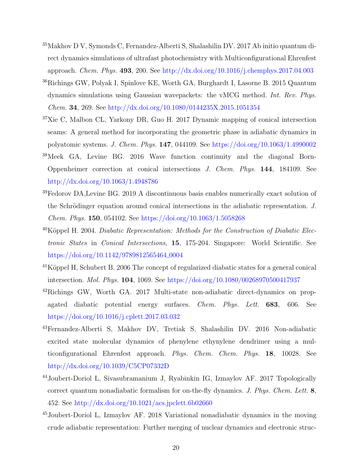- <sup>35</sup>Makhov D V, Symonds C, Fernandez-Alberti S, Shalashilin DV. 2017 Ab initio quantum direct dynamics simulations of ultrafast photochemistry with Multiconfigurational Ehrenfest approach. Chem. Phys. 493, 200. See <http://dx.doi.org/10.1016/j.chemphys.2017.04.003>
- <span id="page-19-0"></span><sup>36</sup>Richings GW, Polyak I, Spinlove KE, Worth GA, Burghardt I, Lasorne B. 2015 Quantum dynamics simulations using Gaussian wavepackets: the vMCG method. Int. Rev. Phys. Chem. 34, 269. See <http://dx.doi.org/10.1080/0144235X.2015.1051354>
- <span id="page-19-1"></span><sup>37</sup>Xie C, Malbon CL, Yarkony DR, Guo H. 2017 Dynamic mapping of conical intersection seams: A general method for incorporating the geometric phase in adiabatic dynamics in polyatomic systems. J. Chem. Phys. 147, 044109. See <https://doi.org/10.1063/1.4990002>
- <span id="page-19-2"></span><sup>38</sup>Meek GA, Levine BG. 2016 Wave function continuity and the diagonal Born-Oppenheimer correction at conical intersections J. Chem. Phys. 144, 184109. See <http://dx.doi.org/10.1063/1.4948786>
- <span id="page-19-3"></span><sup>39</sup>Fedorov DA,Levine BG. 2019 A discontinuous basis enables numerically exact solution of the Schrödinger equation around conical intersections in the adiabatic representation. J. Chem. Phys. 150, 054102. See <https://doi.org/10.1063/1.5058268>
- <span id="page-19-4"></span> $^{40}$ Köppel H. 2004. Diabatic Representation: Methods for the Construction of Diabatic Electronic States in Conical Intersections, 15, 175-204. Singapore: World Scientific. See [https://doi.org/10.1142/9789812565464](https://doi.org/10.1142/9789812565464_0004)<sub>-0004</sub>
- <span id="page-19-5"></span> $^{41}$ Köppel H, Schubert B. 2006 The concept of regularized diabatic states for a general conical intersection. Mol. Phys. 104, 1069. See <https://doi.org/10.1080/00268970500417937>
- <span id="page-19-6"></span><sup>42</sup>Richings GW, Worth GA. 2017 Multi-state non-adiabatic direct-dynamics on propagated diabatic potential energy surfaces. Chem. Phys. Lett. 683, 606. See <https://doi.org/10.1016/j.cplett.2017.03.032>
- <span id="page-19-7"></span><sup>43</sup>Fernandez-Alberti S, Makhov DV, Tretiak S, Shalashilin DV. 2016 Non-adiabatic excited state molecular dynamics of phenylene ethynylene dendrimer using a multiconfigurational Ehrenfest approach. Phys. Chem. Chem. Phys. 18, 10028. See <http://dx.doi.org/10.1039/C5CP07332D>
- <span id="page-19-9"></span><sup>44</sup>Joubert-Doriol L, Sivasubramanium J, Ryabinkin IG, Izmaylov AF. 2017 Topologically correct quantum nonadiabatic formalism for on-the-fly dynamics. J. Phys. Chem. Lett.  $8$ , 452. See <http://dx.doi.org/10.1021/acs.jpclett.6b02660>
- <span id="page-19-8"></span><sup>45</sup>Joubert-Doriol L, Izmaylov AF. 2018 Variational nonadiabatic dynamics in the moving crude adiabatic representation: Further merging of nuclear dynamics and electronic struc-